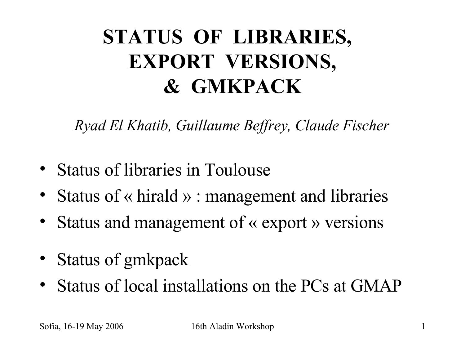#### **STATUS OF LIBRARIES, EXPORT VERSIONS, & GMKPACK**

*Ryad El Khatib, Guillaume Beffrey, Claude Fischer*

- Status of libraries in Toulouse
- Status of « hirald » : management and libraries
- Status and management of « export » versions
- Status of gmkpack
- Status of local installations on the PCs at GMAP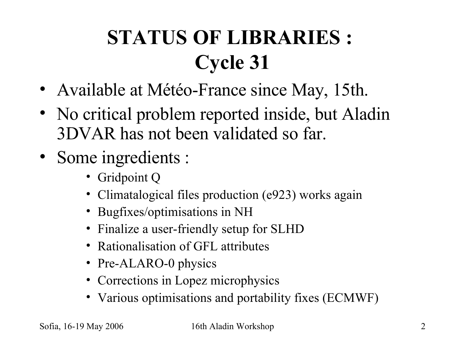# **STATUS OF LIBRARIES : Cycle 31**

- Available at Météo-France since May, 15th.
- No critical problem reported inside, but Aladin 3DVAR has not been validated so far.
- Some ingredients :
	- Gridpoint Q
	- Climatalogical files production (e923) works again
	- Bugfixes/optimisations in NH
	- Finalize a user-friendly setup for SLHD
	- Rationalisation of GFL attributes
	- Pre-ALARO-0 physics
	- Corrections in Lopez microphysics
	- Various optimisations and portability fixes (ECMWF)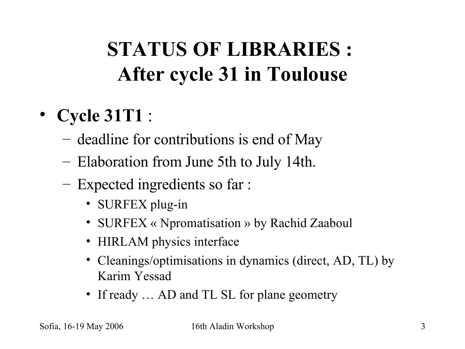# **STATUS OF LIBRARIES : After cycle 31 in Toulouse**

- **Cycle 31T1** :
	- deadline for contributions is end of May
	- Elaboration from June 5th to July 14th.
	- Expected ingredients so far :
		- SURFEX plug-in
		- SURFEX « Npromatisation » by Rachid Zaaboul
		- HIRLAM physics interface
		- Cleanings/optimisations in dynamics (direct, AD, TL) by Karim Yessad
		- If ready ... AD and TL SL for plane geometry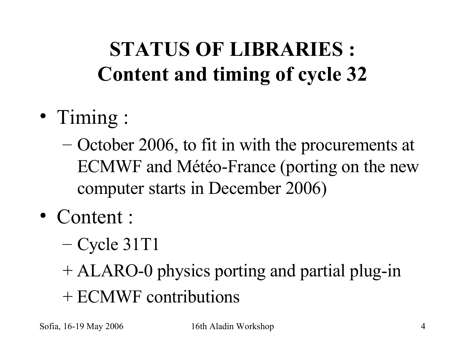# **STATUS OF LIBRARIES : Content and timing of cycle 32**

- Timing :
	- October 2006, to fit in with the procurements at ECMWF and Météo-France (porting on the new computer starts in December 2006)
- Content :
	- $-$  Cycle 31T1
	- + ALARO-0 physics porting and partial plug-in
	- + ECMWF contributions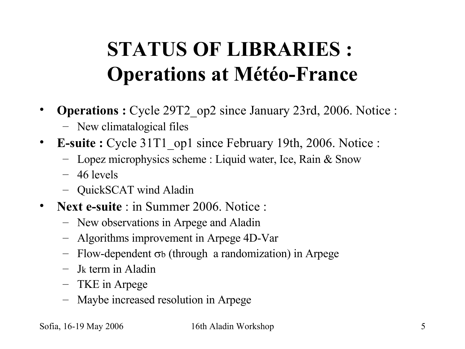## **STATUS OF LIBRARIES : Operations at Météo-France**

- **Operations :** Cycle 29T2\_op2 since January 23rd, 2006. Notice :
	- New climatalogical files
- **E-suite** : Cycle 31T1 op1 since February 19th, 2006. Notice :
	- Lopez microphysics scheme : Liquid water, Ice, Rain & Snow
	- 46 levels
	- QuickSCAT wind Aladin
- **Next e-suite** : in Summer 2006. Notice :
	- New observations in Arpege and Aladin
	- Algorithms improvement in Arpege 4D-Var
	- $-$  Flow-dependent  $\sigma$ b (through a randomization) in Arpege
	- Jk term in Aladin
	- TKE in Arpege
	- Maybe increased resolution in Arpege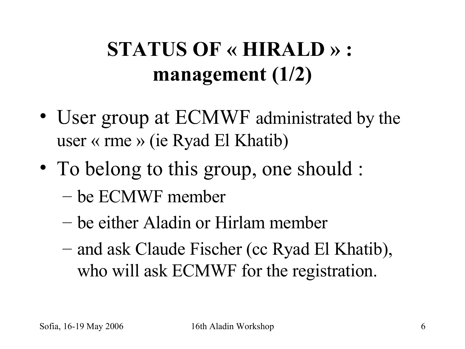# **STATUS OF « HIRALD » : management (1/2)**

- User group at ECMWF administrated by the user « rme » (ie Ryad El Khatib)
- To belong to this group, one should : – be ECMWF member
	- be either Aladin or Hirlam member
	- and ask Claude Fischer (cc Ryad El Khatib), who will ask ECMWF for the registration.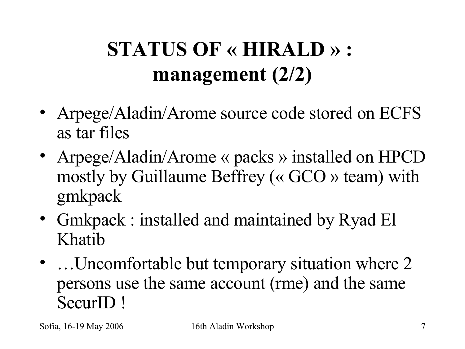# **STATUS OF « HIRALD » : management (2/2)**

- Arpege/Aladin/Arome source code stored on ECFS as tar files
- Arpege/Aladin/Arome « packs » installed on HPCD mostly by Guillaume Beffrey (« GCO » team) with gmkpack
- Gmkpack : installed and maintained by Ryad El Khatib
- ... Uncomfortable but temporary situation where 2 persons use the same account (rme) and the same SecurID !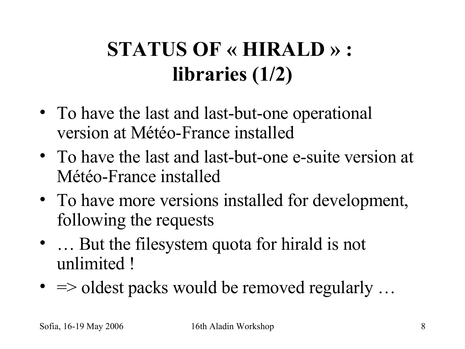# **STATUS OF « HIRALD » : libraries (1/2)**

- To have the last and last-but-one operational version at Météo-France installed
- To have the last and last-but-one e-suite version at Météo-France installed
- To have more versions installed for development, following the requests
- ... But the filesystem quota for hirald is not unlimited !
- $\Rightarrow$  oldest packs would be removed regularly ...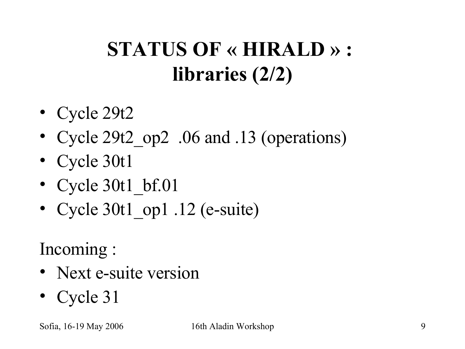# **STATUS OF « HIRALD » : libraries (2/2)**

- Cycle 29t2
- Cycle 29t2 op2 .06 and .13 (operations)
- Cycle 30t1
- Cycle 30t1 bf.01
- Cycle 30t1 op1 .12 (e-suite)

Incoming :

- Next e-suite version
- Cycle 31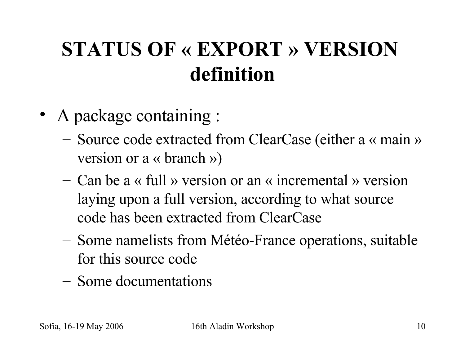#### **STATUS OF « EXPORT » VERSION definition**

- A package containing :
	- Source code extracted from ClearCase (either a « main » version or a « branch »)
	- Can be a « full » version or an « incremental » version laying upon a full version, according to what source code has been extracted from ClearCase
	- Some namelists from Météo-France operations, suitable for this source code
	- Some documentations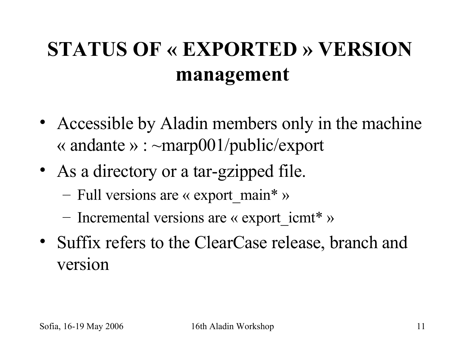## **STATUS OF « EXPORTED » VERSION management**

- Accessible by Aladin members only in the machine « andante » :  $\sim$ marp001/public/export
- As a directory or a tar-gzipped file.
	- Full versions are « export main\* »
	- Incremental versions are « export  $i$ cmt<sup>\*</sup> »
- Suffix refers to the ClearCase release, branch and version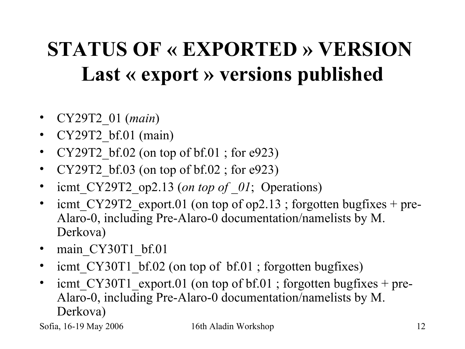# **STATUS OF « EXPORTED » VERSION Last « export » versions published**

- CY29T2\_01 (*main*)
- CY29T2 bf.01 (main)
- CY29T2 bf.02 (on top of bf.01 ; for e923)
- CY29T2 bf.03 (on top of bf.02 ; for e923)
- icmt CY29T2 op2.13 (*on top of 01*; Operations)
- icmt  $CY29T2$  export.01 (on top of op2.13 ; forgotten bugfixes + pre-Alaro-0, including Pre-Alaro-0 documentation/namelists by M. Derkova)
- main CY30T1 bf.01
- icmt CY30T1 bf.02 (on top of bf.01 ; forgotten bugfixes)
- icmt CY30T1 export.01 (on top of  $bf.01$ ; forgotten bugfixes + pre-Alaro-0, including Pre-Alaro-0 documentation/namelists by M. Derkova)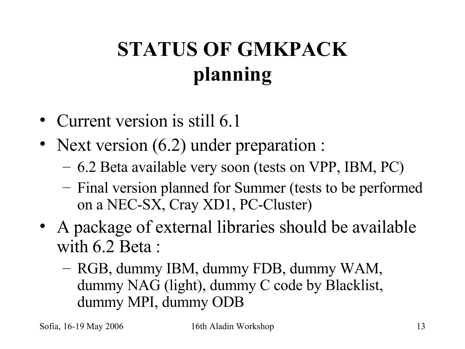# **STATUS OF GMKPACK planning**

- Current version is still 6.1
- Next version (6.2) under preparation :
	- 6.2 Beta available very soon (tests on VPP, IBM, PC)
	- Final version planned for Summer (tests to be performed on a NEC-SX, Cray XD1, PC-Cluster)
- A package of external libraries should be available with 6.2 Beta :
	- RGB, dummy IBM, dummy FDB, dummy WAM, dummy NAG (light), dummy C code by Blacklist, dummy MPI, dummy ODB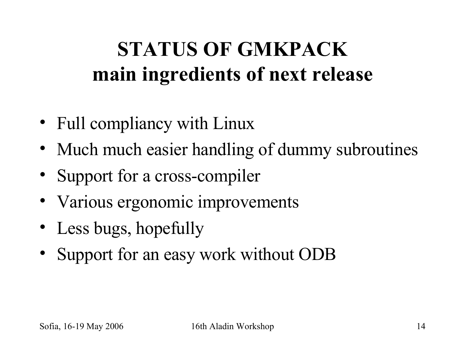#### **STATUS OF GMKPACK main ingredients of next release**

- Full compliancy with Linux
- Much much easier handling of dummy subroutines
- Support for a cross-compiler
- Various ergonomic improvements
- Less bugs, hopefully
- Support for an easy work without ODB